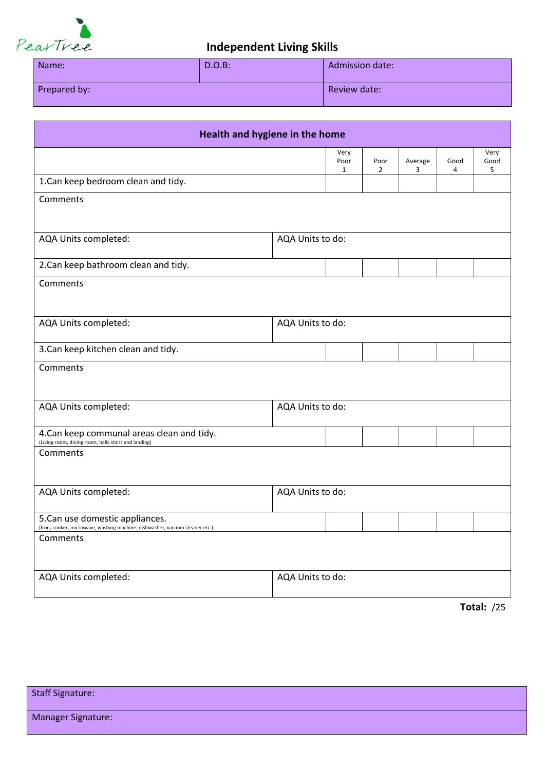

| Name:        | $D.O.B$ : | <b>Admission date:</b> |
|--------------|-----------|------------------------|
| Prepared by: |           | Review date:           |

| Health and hygiene in the home                                                                                 |                  |                              |                        |              |           |                   |
|----------------------------------------------------------------------------------------------------------------|------------------|------------------------------|------------------------|--------------|-----------|-------------------|
|                                                                                                                |                  | Very<br>Poor<br>$\mathbf{1}$ | Poor<br>$\overline{2}$ | Average<br>3 | Good<br>4 | Very<br>Good<br>5 |
| 1.Can keep bedroom clean and tidy.                                                                             |                  |                              |                        |              |           |                   |
| Comments                                                                                                       |                  |                              |                        |              |           |                   |
| AQA Units completed:                                                                                           | AQA Units to do: |                              |                        |              |           |                   |
| 2.Can keep bathroom clean and tidy.                                                                            |                  |                              |                        |              |           |                   |
| Comments                                                                                                       |                  |                              |                        |              |           |                   |
| AQA Units completed:                                                                                           | AQA Units to do: |                              |                        |              |           |                   |
| 3. Can keep kitchen clean and tidy.                                                                            |                  |                              |                        |              |           |                   |
| Comments                                                                                                       |                  |                              |                        |              |           |                   |
| AQA Units completed:                                                                                           | AQA Units to do: |                              |                        |              |           |                   |
| 4. Can keep communal areas clean and tidy.<br>(Living room, dining room, halls stairs and landing)             |                  |                              |                        |              |           |                   |
| Comments                                                                                                       |                  |                              |                        |              |           |                   |
| AQA Units completed:                                                                                           | AQA Units to do: |                              |                        |              |           |                   |
| 5. Can use domestic appliances.<br>(Iron, cooker, microwave, washing machine, dishwasher, vacuum cleaner etc.) |                  |                              |                        |              |           |                   |
| Comments                                                                                                       |                  |                              |                        |              |           |                   |
| AQA Units completed:                                                                                           | AQA Units to do: |                              |                        |              |           |                   |

Staff Signature: Manager Signature: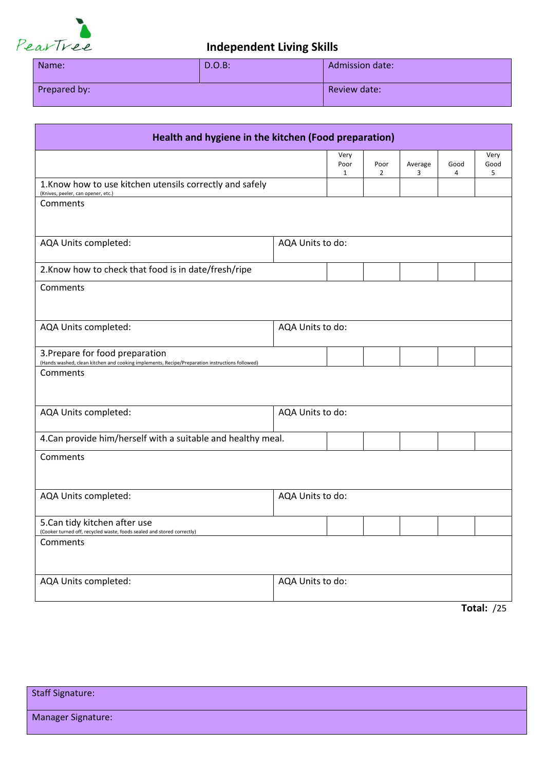

| Name:        | $D.O.B$ : | <b>Admission date:</b> |
|--------------|-----------|------------------------|
| Prepared by: |           | Review date:           |

| Health and hygiene in the kitchen (Food preparation)                                                                              |                  |                   |                        |              |           |                   |
|-----------------------------------------------------------------------------------------------------------------------------------|------------------|-------------------|------------------------|--------------|-----------|-------------------|
|                                                                                                                                   |                  | Very<br>Poor<br>1 | Poor<br>$\overline{2}$ | Average<br>3 | Good<br>4 | Very<br>Good<br>5 |
| 1. Know how to use kitchen utensils correctly and safely<br>(Knives, peeler, can opener, etc.)                                    |                  |                   |                        |              |           |                   |
| Comments                                                                                                                          |                  |                   |                        |              |           |                   |
| AQA Units completed:                                                                                                              | AQA Units to do: |                   |                        |              |           |                   |
| 2. Know how to check that food is in date/fresh/ripe                                                                              |                  |                   |                        |              |           |                   |
| Comments                                                                                                                          |                  |                   |                        |              |           |                   |
| AQA Units completed:                                                                                                              | AQA Units to do: |                   |                        |              |           |                   |
| 3. Prepare for food preparation<br>(Hands washed, clean kitchen and cooking implements, Recipe/Preparation instructions followed) |                  |                   |                        |              |           |                   |
| Comments                                                                                                                          |                  |                   |                        |              |           |                   |
| AQA Units completed:                                                                                                              | AQA Units to do: |                   |                        |              |           |                   |
| 4. Can provide him/herself with a suitable and healthy meal.                                                                      |                  |                   |                        |              |           |                   |
| Comments                                                                                                                          |                  |                   |                        |              |           |                   |
| AQA Units completed:                                                                                                              | AQA Units to do: |                   |                        |              |           |                   |
| 5. Can tidy kitchen after use<br>(Cooker turned off, recycled waste, foods sealed and stored correctly)                           |                  |                   |                        |              |           |                   |
| Comments                                                                                                                          |                  |                   |                        |              |           |                   |
| AQA Units completed:                                                                                                              | AQA Units to do: |                   |                        |              |           |                   |
|                                                                                                                                   |                  |                   |                        |              |           | <b>Total: /25</b> |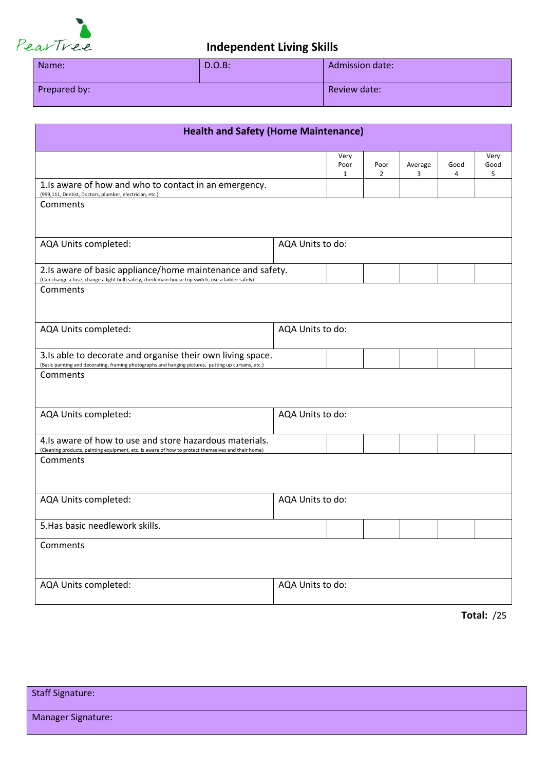

| Name:        | $D.O.B$ : | Admission date: |
|--------------|-----------|-----------------|
| Prepared by: |           | Review date:    |

| <b>Health and Safety (Home Maintenance)</b>                                                                                                                        |                  |                   |           |              |           |                   |
|--------------------------------------------------------------------------------------------------------------------------------------------------------------------|------------------|-------------------|-----------|--------------|-----------|-------------------|
|                                                                                                                                                                    |                  | Very<br>Poor<br>1 | Poor<br>2 | Average<br>3 | Good<br>4 | Very<br>Good<br>5 |
| 1. Is aware of how and who to contact in an emergency.<br>(999,111, Dentist, Doctors, plumber, electrician, etc.)                                                  |                  |                   |           |              |           |                   |
| Comments                                                                                                                                                           |                  |                   |           |              |           |                   |
| AQA Units completed:                                                                                                                                               | AQA Units to do: |                   |           |              |           |                   |
| 2.Is aware of basic appliance/home maintenance and safety.<br>(Can change a fuse, change a light bulb safely, check main house trip switch, use a ladder safely)   |                  |                   |           |              |           |                   |
| Comments                                                                                                                                                           |                  |                   |           |              |           |                   |
| AQA Units completed:                                                                                                                                               | AQA Units to do: |                   |           |              |           |                   |
| 3.Is able to decorate and organise their own living space.<br>(Basic painting and decorating, framing photographs and hanging pictures, putting up curtains, etc.) |                  |                   |           |              |           |                   |
| Comments                                                                                                                                                           |                  |                   |           |              |           |                   |
| AQA Units completed:                                                                                                                                               | AQA Units to do: |                   |           |              |           |                   |
| 4. Is aware of how to use and store hazardous materials.<br>(Cleaning products, painting equipment, etc. Is aware of how to protect themselves and their home)     |                  |                   |           |              |           |                   |
| Comments                                                                                                                                                           |                  |                   |           |              |           |                   |
| AQA Units completed:                                                                                                                                               | AQA Units to do: |                   |           |              |           |                   |
| 5. Has basic needlework skills.                                                                                                                                    |                  |                   |           |              |           |                   |
| Comments                                                                                                                                                           |                  |                   |           |              |           |                   |
| AQA Units completed:                                                                                                                                               | AQA Units to do: |                   |           |              |           |                   |

**Total:** /25

| Staff Signature:   |  |
|--------------------|--|
| Manager Signature: |  |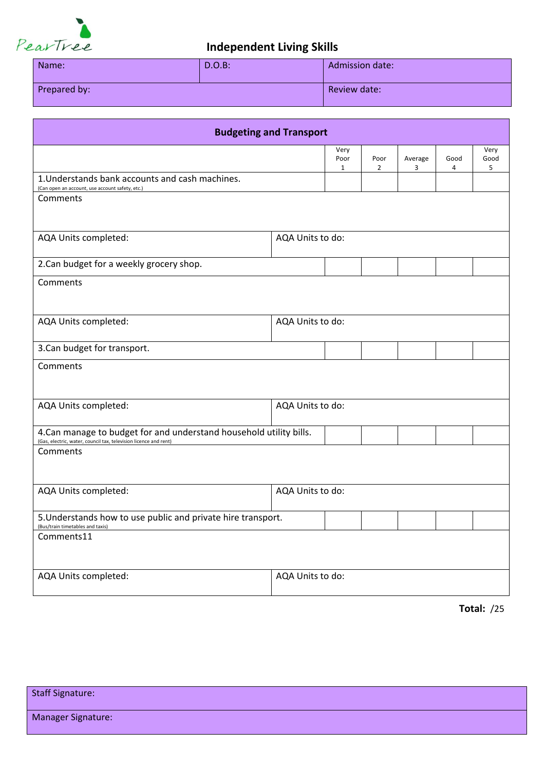

| Name:        | $D.O.B$ : | <b>Admission date:</b> |
|--------------|-----------|------------------------|
| Prepared by: |           | Review date:           |

| <b>Budgeting and Transport</b>                                                                                                          |                  |                              |                        |              |           |                   |
|-----------------------------------------------------------------------------------------------------------------------------------------|------------------|------------------------------|------------------------|--------------|-----------|-------------------|
|                                                                                                                                         |                  | Very<br>Poor<br>$\mathbf{1}$ | Poor<br>$\overline{2}$ | Average<br>3 | Good<br>4 | Very<br>Good<br>5 |
| 1. Understands bank accounts and cash machines.<br>(Can open an account, use account safety, etc.)                                      |                  |                              |                        |              |           |                   |
| Comments                                                                                                                                |                  |                              |                        |              |           |                   |
|                                                                                                                                         |                  |                              |                        |              |           |                   |
| AQA Units completed:                                                                                                                    | AQA Units to do: |                              |                        |              |           |                   |
| 2.Can budget for a weekly grocery shop.                                                                                                 |                  |                              |                        |              |           |                   |
| Comments                                                                                                                                |                  |                              |                        |              |           |                   |
|                                                                                                                                         |                  |                              |                        |              |           |                   |
| AQA Units completed:                                                                                                                    | AQA Units to do: |                              |                        |              |           |                   |
| 3. Can budget for transport.                                                                                                            |                  |                              |                        |              |           |                   |
| Comments                                                                                                                                |                  |                              |                        |              |           |                   |
|                                                                                                                                         |                  |                              |                        |              |           |                   |
| AQA Units completed:                                                                                                                    | AQA Units to do: |                              |                        |              |           |                   |
| 4. Can manage to budget for and understand household utility bills.<br>(Gas, electric, water, council tax, television licence and rent) |                  |                              |                        |              |           |                   |
| Comments                                                                                                                                |                  |                              |                        |              |           |                   |
|                                                                                                                                         |                  |                              |                        |              |           |                   |
| AQA Units completed:                                                                                                                    | AQA Units to do: |                              |                        |              |           |                   |
| 5. Understands how to use public and private hire transport.                                                                            |                  |                              |                        |              |           |                   |
| (Bus/train timetables and taxis)<br>Comments11                                                                                          |                  |                              |                        |              |           |                   |
|                                                                                                                                         |                  |                              |                        |              |           |                   |
| AQA Units completed:                                                                                                                    | AQA Units to do: |                              |                        |              |           |                   |
|                                                                                                                                         |                  |                              |                        |              |           |                   |

| <b>Staff Signature:</b>   |  |
|---------------------------|--|
| <b>Manager Signature:</b> |  |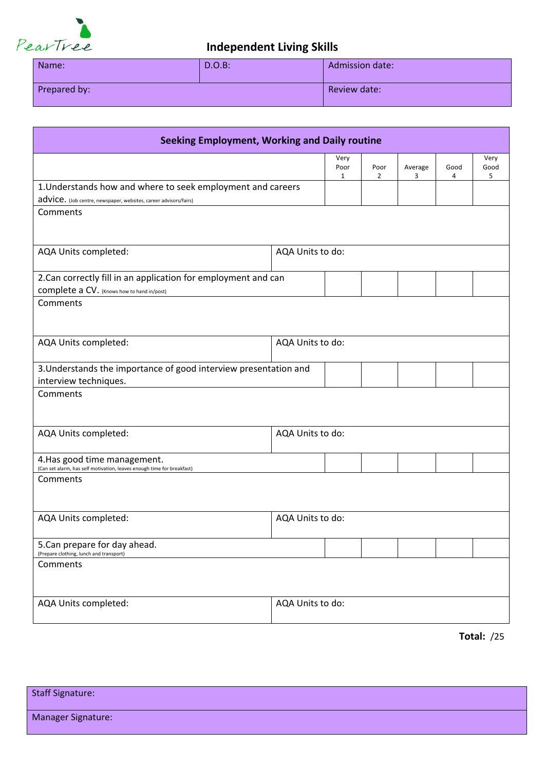

| Name:        | $D.O.B$ : | <b>Admission date:</b> |
|--------------|-----------|------------------------|
| Prepared by: |           | Review date:           |

| <b>Seeking Employment, Working and Daily routine</b>                                                         |                  |                              |                        |              |           |                   |
|--------------------------------------------------------------------------------------------------------------|------------------|------------------------------|------------------------|--------------|-----------|-------------------|
|                                                                                                              |                  | Very<br>Poor<br>$\mathbf{1}$ | Poor<br>$\overline{2}$ | Average<br>3 | Good<br>4 | Very<br>Good<br>5 |
| 1. Understands how and where to seek employment and careers                                                  |                  |                              |                        |              |           |                   |
| advice. (Job centre, newspaper, websites, career advisors/fairs)                                             |                  |                              |                        |              |           |                   |
| Comments                                                                                                     |                  |                              |                        |              |           |                   |
| AQA Units completed:                                                                                         | AQA Units to do: |                              |                        |              |           |                   |
| 2. Can correctly fill in an application for employment and can<br>COMplete a CV. (Knows how to hand in/post) |                  |                              |                        |              |           |                   |
| Comments                                                                                                     |                  |                              |                        |              |           |                   |
| AQA Units completed:                                                                                         | AQA Units to do: |                              |                        |              |           |                   |
| 3. Understands the importance of good interview presentation and<br>interview techniques.                    |                  |                              |                        |              |           |                   |
| Comments                                                                                                     |                  |                              |                        |              |           |                   |
| AQA Units completed:                                                                                         | AQA Units to do: |                              |                        |              |           |                   |
| 4. Has good time management.<br>(Can set alarm, has self motivation, leaves enough time for breakfast)       |                  |                              |                        |              |           |                   |
| Comments                                                                                                     |                  |                              |                        |              |           |                   |
| AQA Units completed:                                                                                         | AQA Units to do: |                              |                        |              |           |                   |
| 5. Can prepare for day ahead.<br>(Prepare clothing, lunch and transport)                                     |                  |                              |                        |              |           |                   |
| Comments                                                                                                     |                  |                              |                        |              |           |                   |
| AQA Units completed:                                                                                         | AQA Units to do: |                              |                        |              |           |                   |

| <b>Staff Signature:</b>   |  |
|---------------------------|--|
| <b>Manager Signature:</b> |  |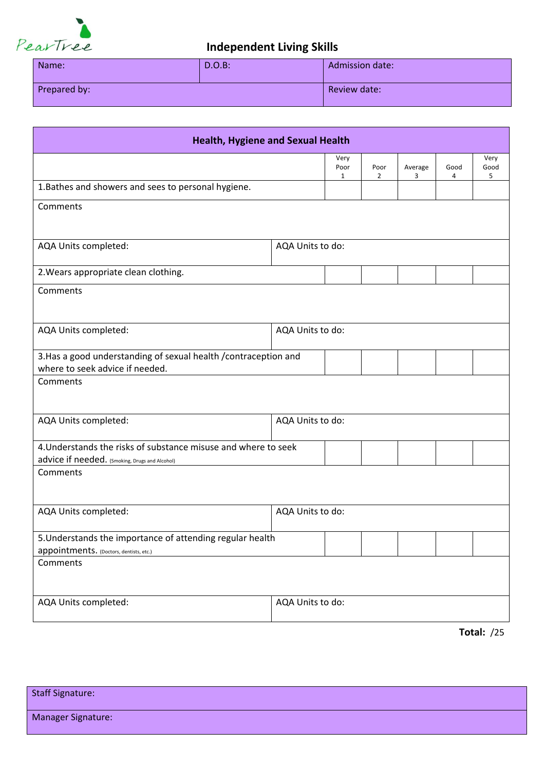

| Name:        | $D.O.B$ :    | <b>Admission date:</b> |  |  |
|--------------|--------------|------------------------|--|--|
| Prepared by: | Review date: |                        |  |  |

| <b>Health, Hygiene and Sexual Health</b>                                                                         |                  |                              |                        |              |           |                   |  |  |
|------------------------------------------------------------------------------------------------------------------|------------------|------------------------------|------------------------|--------------|-----------|-------------------|--|--|
|                                                                                                                  |                  | Very<br>Poor<br>$\mathbf{1}$ | Poor<br>$\overline{2}$ | Average<br>3 | Good<br>4 | Very<br>Good<br>5 |  |  |
| 1. Bathes and showers and sees to personal hygiene.                                                              |                  |                              |                        |              |           |                   |  |  |
| Comments                                                                                                         |                  |                              |                        |              |           |                   |  |  |
| AQA Units completed:                                                                                             | AQA Units to do: |                              |                        |              |           |                   |  |  |
| 2. Wears appropriate clean clothing.                                                                             |                  |                              |                        |              |           |                   |  |  |
| Comments                                                                                                         |                  |                              |                        |              |           |                   |  |  |
| AQA Units completed:                                                                                             | AQA Units to do: |                              |                        |              |           |                   |  |  |
| 3. Has a good understanding of sexual health / contraception and<br>where to seek advice if needed.              |                  |                              |                        |              |           |                   |  |  |
| Comments                                                                                                         |                  |                              |                        |              |           |                   |  |  |
| AQA Units to do:<br>AQA Units completed:                                                                         |                  |                              |                        |              |           |                   |  |  |
| 4. Understands the risks of substance misuse and where to seek<br>advice if needed. (Smoking, Drugs and Alcohol) |                  |                              |                        |              |           |                   |  |  |
| Comments                                                                                                         |                  |                              |                        |              |           |                   |  |  |
| AQA Units completed:                                                                                             | AQA Units to do: |                              |                        |              |           |                   |  |  |
| 5. Understands the importance of attending regular health<br>appointments. (Doctors, dentists, etc.)             |                  |                              |                        |              |           |                   |  |  |
| Comments                                                                                                         |                  |                              |                        |              |           |                   |  |  |
| AQA Units completed:                                                                                             | AQA Units to do: |                              |                        |              |           |                   |  |  |
|                                                                                                                  |                  |                              |                        |              |           | Total: $/25$      |  |  |

Staff Signature: Manager Signature: